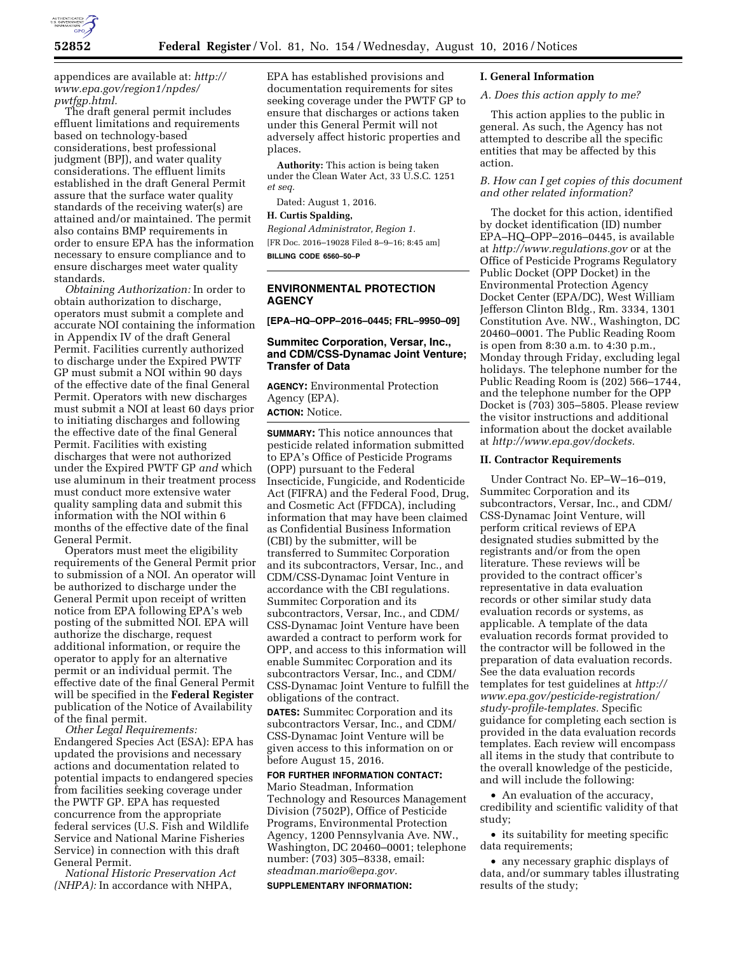

appendices are available at: *[http://](http://www.epa.gov/region1/npdes/pwtfgp.html) [www.epa.gov/region1/npdes/](http://www.epa.gov/region1/npdes/pwtfgp.html) [pwtfgp.html.](http://www.epa.gov/region1/npdes/pwtfgp.html)* 

The draft general permit includes effluent limitations and requirements based on technology-based considerations, best professional judgment (BPJ), and water quality considerations. The effluent limits established in the draft General Permit assure that the surface water quality standards of the receiving water(s) are attained and/or maintained. The permit also contains BMP requirements in order to ensure EPA has the information necessary to ensure compliance and to ensure discharges meet water quality standards.

*Obtaining Authorization:* In order to obtain authorization to discharge, operators must submit a complete and accurate NOI containing the information in Appendix IV of the draft General Permit. Facilities currently authorized to discharge under the Expired PWTF GP must submit a NOI within 90 days of the effective date of the final General Permit. Operators with new discharges must submit a NOI at least 60 days prior to initiating discharges and following the effective date of the final General Permit. Facilities with existing discharges that were not authorized under the Expired PWTF GP *and* which use aluminum in their treatment process must conduct more extensive water quality sampling data and submit this information with the NOI within 6 months of the effective date of the final General Permit.

Operators must meet the eligibility requirements of the General Permit prior to submission of a NOI. An operator will be authorized to discharge under the General Permit upon receipt of written notice from EPA following EPA's web posting of the submitted NOI. EPA will authorize the discharge, request additional information, or require the operator to apply for an alternative permit or an individual permit. The effective date of the final General Permit will be specified in the **Federal Register**  publication of the Notice of Availability of the final permit.

*Other Legal Requirements:*  Endangered Species Act (ESA): EPA has updated the provisions and necessary actions and documentation related to potential impacts to endangered species from facilities seeking coverage under the PWTF GP. EPA has requested concurrence from the appropriate federal services (U.S. Fish and Wildlife Service and National Marine Fisheries Service) in connection with this draft General Permit.

*National Historic Preservation Act (NHPA):* In accordance with NHPA,

EPA has established provisions and documentation requirements for sites seeking coverage under the PWTF GP to ensure that discharges or actions taken under this General Permit will not adversely affect historic properties and places.

**Authority:** This action is being taken under the Clean Water Act, 33 U.S.C. 1251 *et seq.* 

Dated: August 1, 2016.

## **H. Curtis Spalding,**

*Regional Administrator, Region 1.*  [FR Doc. 2016–19028 Filed 8–9–16; 8:45 am] **BILLING CODE 6560–50–P** 

#### **ENVIRONMENTAL PROTECTION AGENCY**

**[EPA–HQ–OPP–2016–0445; FRL–9950–09]** 

## **Summitec Corporation, Versar, Inc., and CDM/CSS-Dynamac Joint Venture; Transfer of Data**

**AGENCY:** Environmental Protection Agency (EPA).

**ACTION:** Notice.

**SUMMARY:** This notice announces that pesticide related information submitted to EPA's Office of Pesticide Programs (OPP) pursuant to the Federal Insecticide, Fungicide, and Rodenticide Act (FIFRA) and the Federal Food, Drug, and Cosmetic Act (FFDCA), including information that may have been claimed as Confidential Business Information (CBI) by the submitter, will be transferred to Summitec Corporation and its subcontractors, Versar, Inc., and CDM/CSS-Dynamac Joint Venture in accordance with the CBI regulations. Summitec Corporation and its subcontractors, Versar, Inc., and CDM/ CSS-Dynamac Joint Venture have been awarded a contract to perform work for OPP, and access to this information will enable Summitec Corporation and its subcontractors Versar, Inc., and CDM/ CSS-Dynamac Joint Venture to fulfill the obligations of the contract.

**DATES:** Summitec Corporation and its subcontractors Versar, Inc., and CDM/ CSS-Dynamac Joint Venture will be given access to this information on or before August 15, 2016.

# **FOR FURTHER INFORMATION CONTACT:**

Mario Steadman, Information Technology and Resources Management Division (7502P), Office of Pesticide Programs, Environmental Protection Agency, 1200 Pennsylvania Ave. NW., Washington, DC 20460–0001; telephone number: (703) 305–8338, email: *[steadman.mario@epa.gov.](mailto:steadman.mario@epa.gov)* 

#### **SUPPLEMENTARY INFORMATION:**

#### **I. General Information**

#### *A. Does this action apply to me?*

This action applies to the public in general. As such, the Agency has not attempted to describe all the specific entities that may be affected by this action.

#### *B. How can I get copies of this document and other related information?*

The docket for this action, identified by docket identification (ID) number EPA–HQ–OPP–2016–0445, is available at *<http://www.regulations.gov>* or at the Office of Pesticide Programs Regulatory Public Docket (OPP Docket) in the Environmental Protection Agency Docket Center (EPA/DC), West William Jefferson Clinton Bldg., Rm. 3334, 1301 Constitution Ave. NW., Washington, DC 20460–0001. The Public Reading Room is open from 8:30 a.m. to 4:30 p.m., Monday through Friday, excluding legal holidays. The telephone number for the Public Reading Room is (202) 566–1744, and the telephone number for the OPP Docket is (703) 305–5805. Please review the visitor instructions and additional information about the docket available at *[http://www.epa.gov/dockets.](http://www.epa.gov/dockets)* 

#### **II. Contractor Requirements**

Under Contract No. EP–W–16–019, Summitec Corporation and its subcontractors, Versar, Inc., and CDM/ CSS-Dynamac Joint Venture, will perform critical reviews of EPA designated studies submitted by the registrants and/or from the open literature. These reviews will be provided to the contract officer's representative in data evaluation records or other similar study data evaluation records or systems, as applicable. A template of the data evaluation records format provided to the contractor will be followed in the preparation of data evaluation records. See the data evaluation records templates for test guidelines at *[http://](http://www.epa.gov/pesticide-registration/study-profile-templates) [www.epa.gov/pesticide-registration/](http://www.epa.gov/pesticide-registration/study-profile-templates) [study-profile-templates.](http://www.epa.gov/pesticide-registration/study-profile-templates)* Specific guidance for completing each section is provided in the data evaluation records templates. Each review will encompass all items in the study that contribute to the overall knowledge of the pesticide, and will include the following:

• An evaluation of the accuracy, credibility and scientific validity of that study;

• its suitability for meeting specific data requirements;

• any necessary graphic displays of data, and/or summary tables illustrating results of the study;